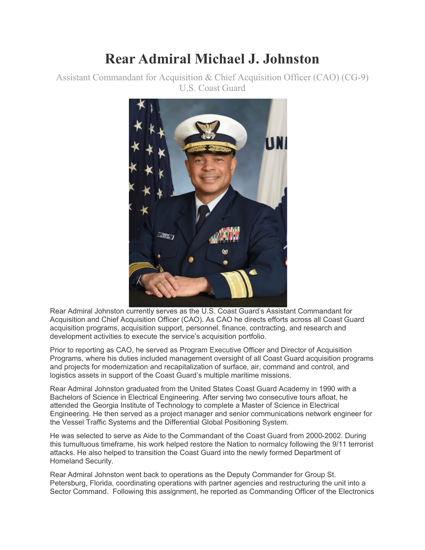## **Rear Admiral Michael J. Johnston**

Assistant Commandant for Acquisition & Chief Acquisition Officer (CAO) (CG-9) U.S. Coast Guard



Rear Admiral Johnston currently serves as the U.S. Coast Guard's Assistant Commandant for Acquisition and Chief Acquisition Officer (CAO). As CAO he directs efforts across all Coast Guard acquisition programs, acquisition support, personnel, finance, contracting, and research and development activities to execute the service's acquisition portfolio.

Prior to reporting as CAO, he served as Program Executive Officer and Director of Acquisition Programs, where his duties included management oversight of all Coast Guard acquisition programs and projects for modernization and recapitalization of surface, air, command and control, and logistics assets in support of the Coast Guard's multiple maritime missions.

Rear Admiral Johnston graduated from the United States Coast Guard Academy in 1990 with a Bachelors of Science in Electrical Engineering. After serving two consecutive tours afloat, he attended the Georgia Institute of Technology to complete a Master of Science in Electrical Engineering. He then served as a project manager and senior communications network engineer for the Vessel Traffic Systems and the Differential Global Positioning System.

He was selected to serve as Aide to the Commandant of the Coast Guard from 2000-2002. During this tumultuous timeframe, his work helped restore the Nation to normalcy following the 9/11 terrorist attacks. He also helped to transition the Coast Guard into the newly formed Department of Homeland Security.

Rear Admiral Johnston went back to operations as the Deputy Commander for Group St. Petersburg, Florida, coordinating operations with partner agencies and restructuring the unit into a Sector Command. Following this assignment, he reported as Commanding Officer of the Electronics